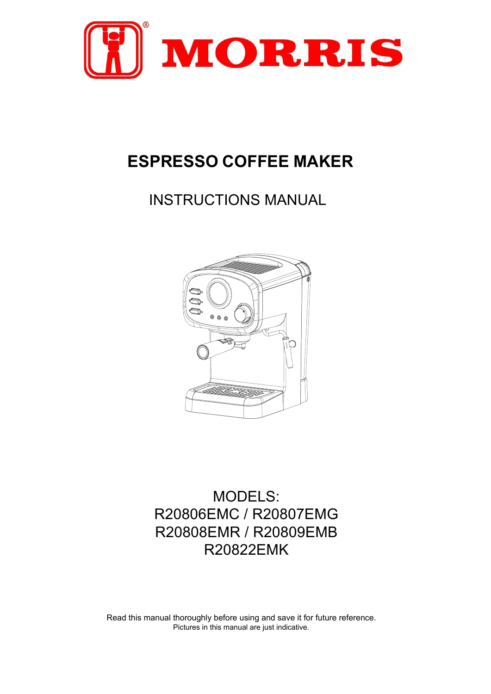

# **ESPRESSO COFFEE MAKER**

INSTRUCTIONS MANUAL



MODELS: R20806EMC / R20807EMG R20808EMR / R20809EMB R20822EMK

Read this manual thoroughly before using and save it for future reference. Pictures in this manual are just indicative.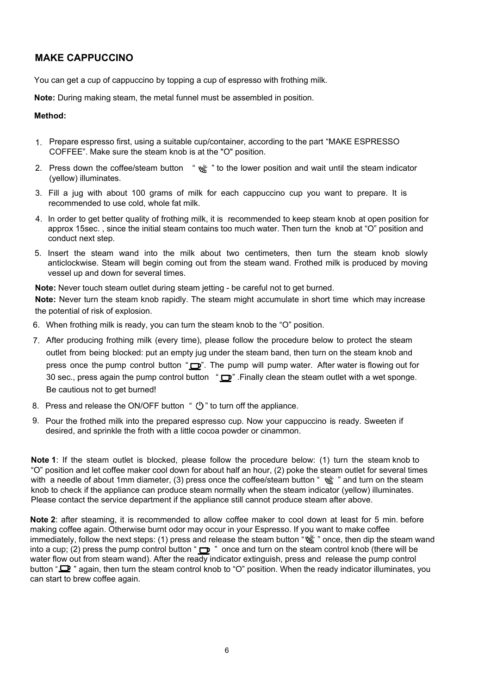# **MAKE CAPPUCCINO**

You can get a cup of cappuccino by topping a cup of espresso with frothing milk.

**Note:** During making steam, the metal funnel must be assembled in position.

#### **Method:**

- 1. Prepare espresso first, using a suitable cup/container, according to the part "MAKE ESPRESSO COFFEE". Make sure the steam knob is at the "O" position.
- 2. Press down the coffee/steam button "  $\frac{160}{12}$ " to the lower position and wait until the steam indicator (yellow) illuminates.
- 3. Fill a jug with about 100 grams of milk for each cappuccino cup you want to prepare. It is recommended to use cold, whole fat milk.
- 4. In order to get better quality of frothing milk, it is recommended to keep steam knob at open position for approx 15sec. , since the initial steam contains too much water. Then turn the knob at "O" position and conduct next step.
- 5. Insert the steam wand into the milk about two centimeters, then turn the steam knob slowly anticlockwise. Steam will begin coming out from the steam wand. Frothed milk is produced by moving vessel up and down for several times.

**Note:** Never touch steam outlet during steam jetting - be careful not to get burned.

**Note:** Never turn the steam knob rapidly. The steam might accumulate in short time which may increase the potential of risk of explosion.

- 6. When frothing milk is ready, you can turn the steam knob to the "O" position.
- 7. After producing frothing milk (every time), please follow the procedure below to protect the steam outlet from being blocked: put an empty jug under the steam band, then turn on the steam knob and press once the pump control button " $\Box$ ". The pump will pump water. After water is flowing out for 30 sec., press again the pump control button " $\Box$ ". Finally clean the steam outlet with a wet sponge. Be cautious not to get burned!
- 8. Press and release the ON/OFF button " $\bigcup$ " to turn off the appliance.
- 9. Pour the frothed milk into the prepared espresso cup. Now your cappuccino is ready. Sweeten if desired, and sprinkle the froth with a little cocoa powder or cinammon.

**Note 1**: If the steam outlet is blocked, please follow the procedure below: (1) turn the steam knob to "O" position and let coffee maker cool down for about half an hour, (2) poke the steam outlet for several times with a needle of about 1mm diameter, (3) press once the coffee/steam button "  $\frac{1}{2}$ " and turn on the steam knob to check if the appliance can produce steam normally when the steam indicator (yellow) illuminates. Please contact the service department if the appliance still cannot produce steam after above.

**Note 2**: after steaming, it is recommended to allow coffee maker to cool down at least for 5 min. before making coffee again. Otherwise burnt odor may occur in your Espresso. If you want to make coffee immediately, follow the next steps: (1) press and release the steam button " sume, then dip the steam wand into a cup; (2) press the pump control button " $\Box$ " once and turn on the steam control knob (there will be water flow out from steam wand). After the ready indicator extinguish, press and release the pump control button " $\mathbf{\Omega}$ " again, then turn the steam control knob to "O" position. When the ready indicator illuminates, you can start to brew coffee again.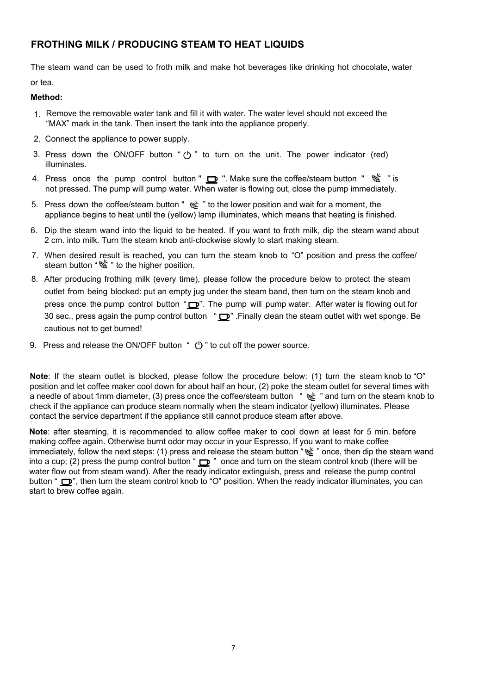## **FROTHING MILK / PRODUCING STEAM TO HEAT LIQUIDS**

The steam wand can be used to froth milk and make hot beverages like drinking hot chocolate, water or tea.

#### **Method:**

- 1. Remove the removable water tank and fill it with water. The water level should not exceed the "MAX" mark in the tank. Then insert the tank into the appliance properly.
- 2. Connect the appliance to power supply.
- 3. Press down the ON/OFF button " $(')$ " to turn on the unit. The power indicator (red) illuminates.
- 4. Press once the pump control button "  $\Box$  ". Make sure the coffee/steam button "  $\mathcal{L}$  " is not pressed. The pump will pump water. When water is flowing out, close the pump immediately.
- 5. Press down the coffee/steam button "  $\frac{160}{16}$  " to the lower position and wait for a moment, the appliance begins to heat until the (yellow) lamp illuminates, which means that heating is finished.
- 6. Dip the steam wand into the liquid to be heated. If you want to froth milk, dip the steam wand about 2 cm. into milk. Turn the steam knob anti-clockwise slowly to start making steam.
- 7. When desired result is reached, you can turn the steam knob to "O" position and press the coffee/ steam button "  $\frac{1}{2}$ " to the higher position.
- 8. After producing frothing milk (every time), please follow the procedure below to protect the steam outlet from being blocked: put an empty jug under the steam band, then turn on the steam knob and press once the pump control button " $\Box$ ". The pump will pump water. After water is flowing out for 30 sec., press again the pump control button " $\mathbf{P}$ ". Finally clean the steam outlet with wet sponge. Be cautious not to get burned!
- 9. Press and release the ON/OFF button "  $\bigcup$  " to cut off the power source.

**Note**: If the steam outlet is blocked, please follow the procedure below: (1) turn the steam knob to "O" position and let coffee maker cool down for about half an hour, (2) poke the steam outlet for several times with a needle of about 1mm diameter, (3) press once the coffee/steam button "  $\frac{166}{12}$ " and turn on the steam knob to check if the appliance can produce steam normally when the steam indicator (yellow) illuminates. Please contact the service department if the appliance still cannot produce steam after above.

**Note**: after steaming, it is recommended to allow coffee maker to cool down at least for 5 min. before making coffee again. Otherwise burnt odor may occur in your Espresso. If you want to make coffee immediately, follow the next steps: (1) press and release the steam button " " once, then dip the steam wand into a cup; (2) press the pump control button " $\Box$ " once and turn on the steam control knob (there will be water flow out from steam wand). After the ready indicator extinguish, press and release the pump control button "  $\Box$ ", then turn the steam control knob to "O" position. When the ready indicator illuminates, you can start to brew coffee again.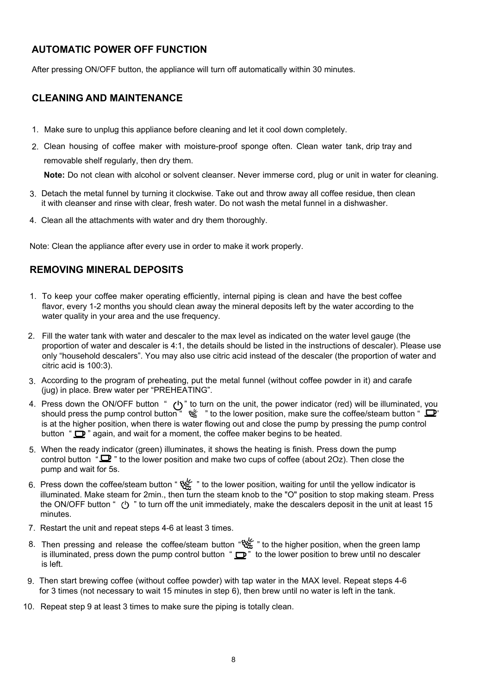# **AUTOMATIC POWER OFF FUNCTION**

After pressing ON/OFF button, the appliance will turn off automatically within 25 minutes.

#### **CLEANING AND MAINTENANCE**

- 1. Make sure to unplug this appliance before cleaning and let it cool down completely.
- 2. Clean housing of coffee maker with moisture-proof sponge often. Clean water tank, drip tray and removable shelf regularly, then dry them.

**Note:** Do not clean with alcohol or solvent cleanser. Never immerse cord, plug or unit in water for cleaning.

- 3. Detach the metal funnel by turning it clockwise. Take out and throw away all coffee residue, then clean it with cleanser and rinse with clear, fresh water. Do not wash the metal funnel in a dishwasher.
- 4. Clean all the attachments with water and dry them thoroughly.

Note: Clean the appliance after every use in order to make it work properly.

# **REMOVING MINERAL DEPOSITS**

- 1. To keep your coffee maker operating efficiently, internal piping is clean and have the best coffee flavor, every 1-2 months you should clean away the mineral deposits left by the water according to the water quality in your area and the use frequency.
- 2. Fill the water tank with water and descaler to the max level as indicated on the water level gauge (the proportion of water and descaler is 4:1, the details should be listed in the instructions of descaler). Please use only "household descalers". You may also use citric acid instead of the descaler (the proportion of water and citric acid is 100:3).
- 3. According to the program of preheating, put the metal funnel (without coffee powder in it) and carafe (jug) in place. Brew water per "PREHEATING".
- 4. Press down the ON/OFF button " (')" to turn on the unit, the power indicator (red) will be illuminated, you should press the pump control button "  $\mathcal{C}$  " to the lower position, make sure the coffee/steam button "  $\Box$ " is at the higher position, when there is water flowing out and close the pump by pressing the pump control button " $\mathbf{D}$ " again, and wait for a moment, the coffee maker begins to be heated.
- 5. When the ready indicator (green) illuminates, it shows the heating is finish. Press down the pump control button " $\mathbf{D}$ " to the lower position and make two cups of coffee (about 2Oz). Then close the pump and wait for 5s.
- f. Press down the coffee/steam button " " to the lower position, waiting for until the yellow indicator is illuminated. Make steam for 2min., then turn the steam knob to the "O" position to stop making steam. Press the ON/OFF button "  $\circ$ " to turn off the unit immediately, make the descalers deposit in the unit at least 15 minutes.
- 7. Restart the unit and repeat steps 4-6 at least 3 times.
- 8. Then pressing and release the coffee/steam button " the higher position, when the green lamp is illuminated, press down the pump control button " $\mathbf{P}$ " to the lower position to brew until no descaler is left.
- 9. Then start brewing coffee (without coffee powder) with tap water in the MAX level. Repeat steps 4-6 for 3 times (not necessary to wait 15 minutes in step 6), then brew until no water is left in the tank.
- 10. Repeat step 9 at least 3 times to make sure the piping is totally clean.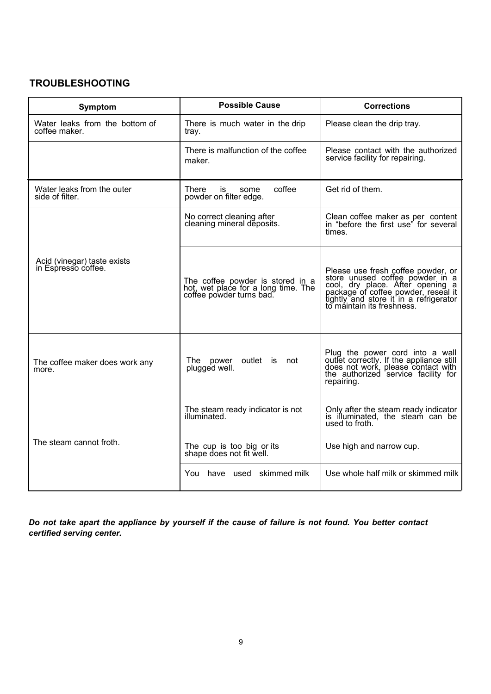# **TROUBLESHOOTING**

| Symptom                                            | <b>Possible Cause</b>                                                                               | <b>Corrections</b>                                                                                                                                                                                                       |
|----------------------------------------------------|-----------------------------------------------------------------------------------------------------|--------------------------------------------------------------------------------------------------------------------------------------------------------------------------------------------------------------------------|
| Water leaks from the bottom of<br>coffee maker.    | There is much water in the drip<br>tray.                                                            | Please clean the drip tray.                                                                                                                                                                                              |
|                                                    | There is malfunction of the coffee<br>maker.                                                        | Please contact with the authorized<br>service facility for repairing.                                                                                                                                                    |
| Water leaks from the outer<br>side of filter.      | coffee<br>There<br>is<br>some<br>powder on filter edge.                                             | Get rid of them.                                                                                                                                                                                                         |
| Acid (vinegar) taste exists<br>in Espresso coffee. | No correct cleaning after<br>cleaning mineral deposits.                                             | Clean coffee maker as per content<br>in "before the first use" for several<br>times.                                                                                                                                     |
|                                                    | The coffee powder is stored in a<br>hot, wet place for a long time. The<br>coffee powder turns bad. | Please use fresh coffee powder, or<br>store unused coffee powder in a<br>cool, dry place. After opening a<br>package of coffee powder, reseal it<br>tightly and store it in a refrigerator<br>to máintain its freshness. |
| The coffee maker does work any<br>more.            | outlet is<br>The power<br>not<br>plugged well.                                                      | Plug the power cord into a wall<br>outlet correctly. If the appliance still<br>does not work, please contact with<br>the authorized service facility for<br>repairing.                                                   |
| The steam cannot froth.                            | The steam ready indicator is not<br>illuminated.                                                    | Only after the steam ready indicator<br>is illuminated, the steam can be<br>used to froth.                                                                                                                               |
|                                                    | The cup is too big or its<br>shape does not fit well.                                               | Use high and narrow cup.                                                                                                                                                                                                 |
|                                                    | You have used skimmed milk                                                                          | Use whole half milk or skimmed milk                                                                                                                                                                                      |

*Do not take apart the appliance by yourself if the cause of failure is not found. You better contact certified serving center.*